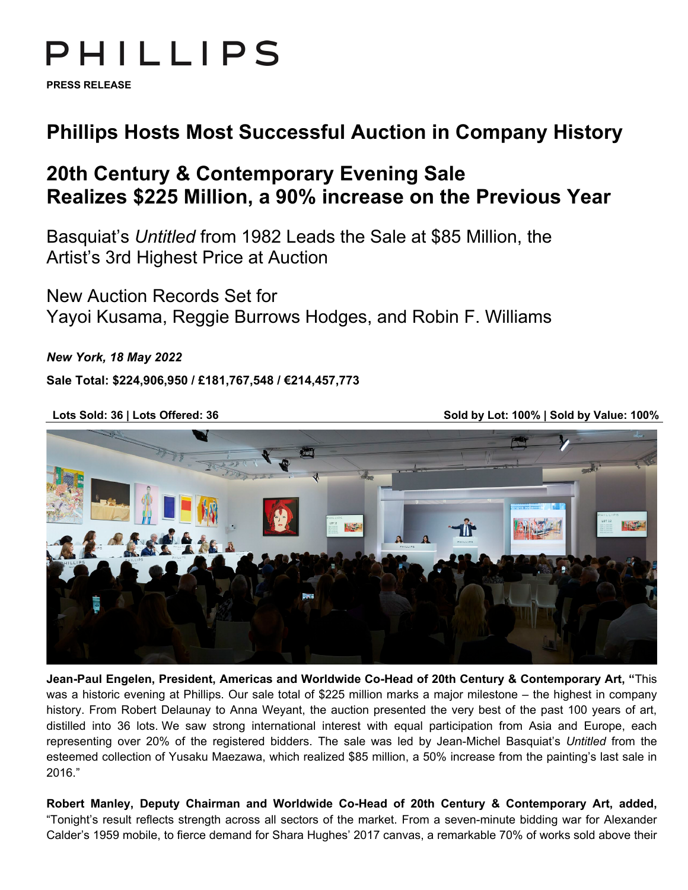# PHILLIPS

**PRESS RELEASE**

## **Phillips Hosts Most Successful Auction in Company History**

## **20th Century & Contemporary Evening Sale Realizes \$225 Million, a 90% increase on the Previous Year**

Basquiat's *Untitled* from 1982 Leads the Sale at \$85 Million, the Artist's 3rd Highest Price at Auction

New Auction Records Set for Yayoi Kusama, Reggie Burrows Hodges, and Robin F. Williams

*New York, 18 May 2022*

**Sale Total: \$224,906,950 / £181,767,548 / €214,457,773**

**Lots Sold: 36 | Lots Offered: 36 Sold by Lot: 100% | Sold by Value: 100%** 



**Jean-Paul Engelen, President, Americas and Worldwide Co-Head of 20th Century & Contemporary Art, "**This was a historic evening at Phillips. Our sale total of \$225 million marks a major milestone – the highest in company history. From Robert Delaunay to Anna Weyant, the auction presented the very best of the past 100 years of art, distilled into 36 lots. We saw strong international interest with equal participation from Asia and Europe, each representing over 20% of the registered bidders. The sale was led by Jean-Michel Basquiat's *Untitled* from the esteemed collection of Yusaku Maezawa, which realized \$85 million, a 50% increase from the painting's last sale in 2016."

**Robert Manley, Deputy Chairman and Worldwide Co-Head of 20th Century & Contemporary Art, added,**  "Tonight's result reflects strength across all sectors of the market. From a seven-minute bidding war for Alexander Calder's 1959 mobile, to fierce demand for Shara Hughes' 2017 canvas, a remarkable 70% of works sold above their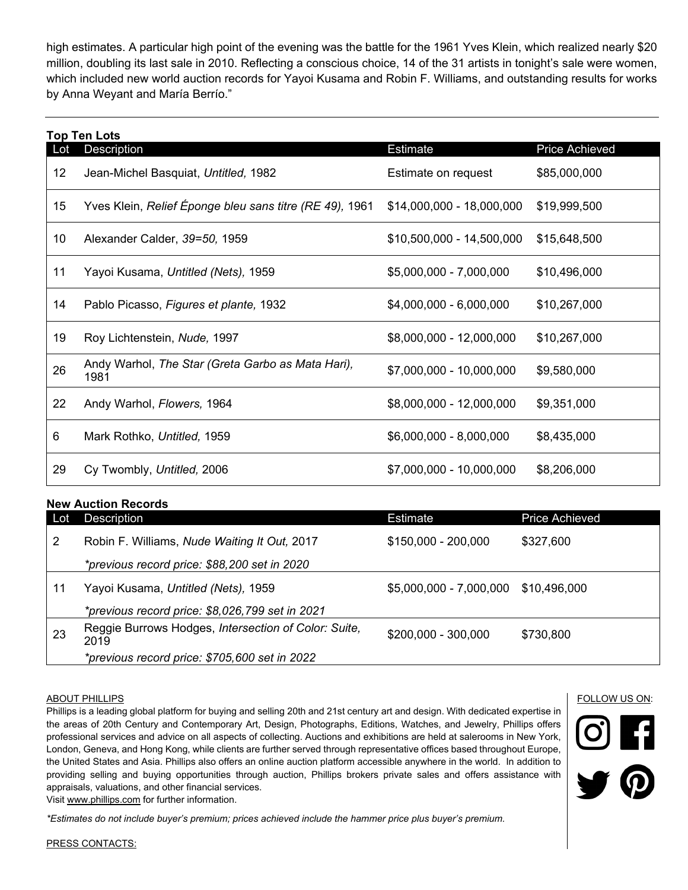high estimates. A particular high point of the evening was the battle for the 1961 Yves Klein, which realized nearly \$20 million, doubling its last sale in 2010. Reflecting a conscious choice, 14 of the 31 artists in tonight's sale were women, which included new world auction records for Yayoi Kusama and Robin F. Williams, and outstanding results for works by Anna Weyant and María Berrío."

# **Top Ten Lots** Lot Description Estimate Price Achieved 12 Jean-Michel Basquiat, Untitled, 1982 **Estimate on request** \$85,000,000 15 Yves Klein, *Relief Éponge bleu sans titre (RE 49),* 1961 \$14,000,000 - 18,000,000 \$19,999,500 10 Alexander Calder, *39=50,* 1959 \$10,500,000 - 14,500,000 \$15,648,500 11 Yayoi Kusama, *Untitled (Nets),* 1959 \$5,000,000 - 7,000,000 \$10,496,000 14 Pablo Picasso, *Figures et plante,* 1932 \$4,000,000 - 6,000,000 \$10,267,000 19 Roy Lichtenstein, *Nude,* 1997 \$8,000,000 - 12,000,000 \$10,267,000 <sup>26</sup> Andy Warhol, *The Star (Greta Garbo as Mata Hari),*  <sup>1981</sup> \$7,000,000 - 10,000,000 \$9,580,000 22 Andy Warhol, *Flowers,* 1964 \$8,000,000 - 12,000,000 \$9,351,000 6 Mark Rothko, *Untitled,* 1959 \$6,000,000 - 8,000,000 \$8,435,000 29 Cy Twombly, *Untitled,* 2006 \$7,000,000 - 10,000,000 \$8,206,000

### **New Auction Records**

| Lot | Description                                                  | <b>Estimate</b>          | <b>Price Achieved</b> |
|-----|--------------------------------------------------------------|--------------------------|-----------------------|
| 2   | Robin F. Williams, Nude Waiting It Out, 2017                 | \$150,000 - 200,000      | \$327,600             |
|     | *previous record price: \$88,200 set in 2020                 |                          |                       |
| 11  | Yayoi Kusama, Untitled (Nets), 1959                          | $$5,000,000 - 7,000,000$ | \$10,496,000          |
|     | *previous record price: \$8,026,799 set in 2021              |                          |                       |
| 23  | Reggie Burrows Hodges, Intersection of Color: Suite,<br>2019 | \$200,000 - 300,000      | \$730,800             |
|     | *previous record price: \$705,600 set in 2022                |                          |                       |

#### ABOUT PHILLIPS

Phillips is a leading global platform for buying and selling 20th and 21st century art and design. With dedicated expertise in the areas of 20th Century and Contemporary Art, Design, Photographs, Editions, Watches, and Jewelry, Phillips offers professional services and advice on all aspects of collecting. Auctions and exhibitions are held at salerooms in New York, London, Geneva, and Hong Kong, while clients are further served through representative offices based throughout Europe, the United States and Asia. Phillips also offers an online auction platform accessible anywhere in the world. In addition to providing selling and buying opportunities through auction, Phillips brokers private sales and offers assistance with appraisals, valuations, and other financial services.

Visit [www.phillips.com](http://www.phillips.com/) for further information.

*\*Estimates do not include buyer's premium; prices achieved include the hammer price plus buyer's premium.*